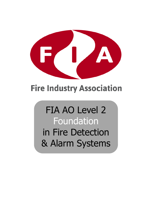

# **Fire Industry Association**

# FIA AO Level 2 Foundation

in Fire Detection & Alarm Systems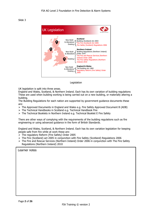

Legislation

UK legislation is split into three areas.

England and Wales, Scotland, & Northern Ireland. Each has its own variation of building regulations These are used when building working is being carried out on a new building, or materially altering a building.

The Building Regulations for each nation are supported by government guidance documents these are:

- ➢ The Approved Documents in England and Wales e.g. Fire Safety Approved Document B (ADB)
- ➢ The Technical Handbooks in Scotland e.g. Technical Handbook Fire
- ➢ The Technical Booklets in Northern Ireland e.g. Technical Booklet E Fire Safety

There are other ways of complying with the requirements of the building regulations such as fire engineering or using advanced guidance in the form of British Standards.

England and Wales, Scotland, & Northern Ireland. Each has its own variation legislation for keeping people safe from fire while at work these are:

- ➢ The regulatory Reform (Fire Safety) Order 2005
- ➢ The Fire (Scotland) act 2005 in conjunction with Fire Safety (Scotland) Regulations 2006
- $\triangleright$  The Fire and Rescue Services (Northern Ireland) Order 2006 in conjunction with The Fire Safety Regulations (Northern Ireland) 2010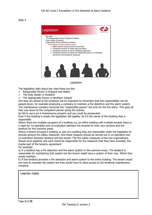

Legislation

The legislation talks about key roles these are the:

- $\triangleright$  Responsible Person in England and Wales
- ➢ The Duty Holder in Scotland
- ➢ The Appropriate Person in Northern Ireland

And they are aimed at the employer but its important to remember that this responsibility can be passed down, for example employing a company to maintain a fire detection and fire alarm system The maintenance company becomes the "responsible person" but only for the fire alarm. This goes all they way down to the competent person doing the activity.

So fail to carry out a maintenance properly and you could be prosecuted.

Even if the building is empty the legislation still applies. So it's the owner of the building that is responsible.

Where there are multiple occupiers of a building e.g. an office building with multiple tenants there is a need for Co-operation and co-ordination between the tenants for their own sections and the landlord for the common areas.

Where a tenant occupies a building or part of a building they are responsible under the legislation to provide general fire safety measures. And these measure should be carried out in co-operation and co-ordination between landlord and the tenant. The fire safety measures of the two organisations should work together and each would be responsible for the measures that they have provided, this maybe part of the tenancy agreement.

For example:

a) If a landlord has a fire detection and fire alarm system in the common areas. The landlord is responsible for maintaining that system but the tenant might have a system of their own. Which they would maintain.

b) If the landlord provided a fire detection and alarm system to the entire building. The tenant would not have to maintain the system but they would have to allow access to the landlords maintenance company.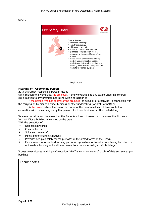

Legislation

# **Meaning of "responsible person"**

**3.** In this Order "responsible person" means—

- (a) in relation to a workplace, the employer, if the workplace is to any extent under his control;
- (b) in relation to any premises not falling within paragraph (a)—
- (i) the person who has control of the premises (as occupier or otherwise) in connection with the carrying on by him of a trade, business or other undertaking (for profit or not); or

(ii) the owner, where the person in control of the premises does not have control in connection with the carrying on by that person of a trade, business or other undertaking.

Its easier to talk about the areas that the fire safety does not cover than the areas that it covers In short if it's a building its covered by the order

With the exception of

- $\triangleright$  Domestic dwellings
- $\triangleright$  Construction sites,
- $\triangleright$  Ships and hovercraft,
- $\triangleright$  Mines and offshore installations
- ➢ Premises occupied solely for the purposes of the armed forces of the Crown
- ➢ Fields, woods or other land forming part of an agricultural or forestry undertaking but which is not inside a building and is situated away from the undertaking's main buildings

It does cover Houses in Multiple Occupation (HMO's), common areas of blocks of flats and any empty buildings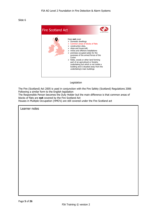

Legislation

The Fire (Scotland) Act 2005 is used in conjunction with the Fire Safety (Scotland) Regulations 2006 Following a similar form to the English legislation

The Responsible Person becomes the Duty Holder but the main difference is that common areas of blocks of flats are **not** covered by the Fire Scotland Act

Houses in Multiple Occupation (HMO's) are still covered under the Fire Scotland act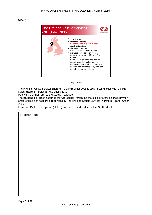

Legislation

The Fire and Rescue Services (Northern Ireland) Order 2006 is used in conjunction with the Fire Safety (Northern Ireland) Regulations 2010

Following a similar form to the Scottish legislation

The Responsible Person becomes the Appropriate Person but the main difference is that common areas of blocks of flats are **not** covered by The Fire and Rescue Services (Northern Ireland) Order 2006

Houses in Multiple Occupation (HMO's) are still covered under the Fire Scotland act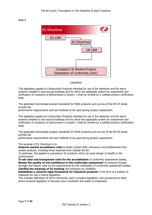

#### Legislation

This legislation applies to Construction Products intended for use in fire detection and fire alarm systems installed in and around buildings and for which the applicable system for assessment and verification of constancy of performance is system 1 shall be verified by a notified product certification body

The applicable harmonised product standards for FDAS products such as one of the EN 54 Series provide the

performance requirements and test methods to be used during product assessment

This legislation applies to Construction Products intended for use in fire detection and fire alarm systems installed in and around buildings and for which the applicable system for assessment and verification of constancy of performance is system 1 shall be verified by a notified product certification body

The applicable harmonised product standards for FDAS products such as one of the EN 54 Series provide the

performance requirements and test methods to be used during product assessment

The purpose of EU Directives is to:

**Improve market surveillance rules** to better protect both consumers and professionals from unsafe products, including those imported from outside the EU.

In particular, this applies to procedures for products which can pose danger to health or the environment;

**To set clear and transparent rules for the accreditation** of conformity assessment bodies; **Boosts the quality of and confidence in the conformity assessment** of products through stronger and clearer rules on the requirements for the notification of conformity assessment bodies; **Clarifies the meaning of CE marking** and enhances its credibility;

**Establishes a common legal framework for industrial products** in the form of a toolbox of measures for use in future legislation.

This includes definitions of terms commonly used in product legislation, and procedures to allow future sectorial legislation to become more consistent and easier to implement.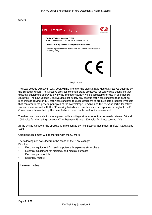

#### Legislation

The Low Voltage Directive (LVD) 2006/95/EC is one of the oldest Single Market Directives adopted by the European Union. The Directive provides common broad objectives for safety regulations, so that electrical equipment approved by any EU member country will be acceptable for use in all other EU countries. The Low Voltage Directive does not supply any specific technical standards that must be met, instead relying on IEC technical standards to guide designers to produce safe products. Products that conform to the general principles of the Low Voltage Directive and the relevant particular safety standards are marked with the CE marking to indicate compliance and acceptance throughout the EU. Conformance is asserted by the manufacturer based on its conformity assessment.

The directive covers electrical equipment with a voltage at input or output terminals between 50 and 1000 volts for alternating current (AC) or between 75 and 1500 volts for direct current (DC)

In the United Kingdom, the directive is implemented by The Electrical Equipment (Safety) Regulations 1994

Compliant equipment will be marked with the CE mark

The following are excluded from the scope of the "Low Voltage" Directive:

- Electrical equipment for use in a potentially explosive atmosphere
- Electrical equipment for radiology and medical purposes
- Electrical parts for lifts
- Electricity meters,

| Learner notes |  |
|---------------|--|
|---------------|--|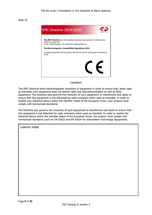

#### Legislation

The EMC Directive limits electromagnetic emissions of equipment in order to ensure that, when used as intended, such equipment does not disturb radio and telecommunication as well as other equipment. The Directive also governs the immunity of such equipment to interference and seeks to ensure that this equipment is not disturbed by radio emissions when used as intended. In order to market your electrical device within the member states of the European Union, your product must comply with harmonized standards.

The Directive also governs the immunity of such equipment to interference and seeks to ensure that this equipment is not disturbed by radio emissions when used as intended. In order to market the electrical device within the member states of the European Union, the product must comply with harmonized standards (such as EN 55022 and EN 55024 for Information Technology Equipment).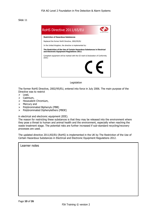

Legislation

The former RoHS Directive, 2002/95/EU, entered into force in July 2006. The main purpose of the Directive was to restrict

- ➢ Lead,
- ➢ Cadmium,
- ➢ Hexavalent Chromium,
- ➢ Mercury and
- ➢ Polybrominated Biphenyls (PBB)
- ➢ Polybrominated Diphenylethers (PBDE)

in electrical and electronic equipment (EEE).

The reason for restricting these substances is that they may be released into the environment where they pose a threat to human and animal health and the environment, especially when reaching the waste treatment stage. The potential risks are further increased if sub-standard recycling/recovery processes are used.

The updated directive 2011/65/EU (RoHS) is implemented in the UK by The Restriction of the Use of Certain Hazardous Substances in Electrical and Electronic Equipment Regulations 2012.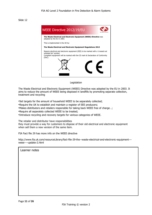

Legislation

The Waste Electrical and Electronic Equipment (WEEE) Directive was adopted by the EU in 2003. It aims to reduce the amount of WEEE being disposed in landfills by promoting separate collection, treatment and recycling

•Set targets for the amount of household WEEE to be separately collected;

•Require the UK to establish and maintain a register of EEE producers;

•Makes distributors and retailers responsible for taking back WEEE free of charge…;

•Require all separately collected WEEE to be treated;

•Introduce recycling and recovery targets for various categories of WEEE.

The retailer and distributor have responsibilities

they must provide a way for customers to dispose of their old electrical and electronic equipment when sell them a new version of the same item.

FIA Fact file 29 has more info on the WEEE directive

http://www.fia.uk.com/resourceLibrary/fact-file-29-the--waste-electrical-and-electronic-equipment-- weee----update-2.html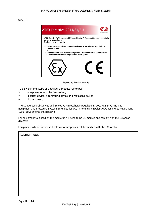

Explosive Environments

To be within the scope of Directive, a product has to be:

- equipment or a protective system,
- a safety device, a controlling device or a regulating device
- A component,

The Dangerous Substances and Explosive Atmospheres Regulations, 2002 (DSEAR) And The Equipment and Protective Systems Intended for Use in Potentially Explosive Atmospheres Regulations 1996 (EPS) enforce the directive

For equipment to placed on the market it will need to be CE marked and comply with the European directive

Equipment suitable for use in Explosive Atmospheres will be marked with the EX symbol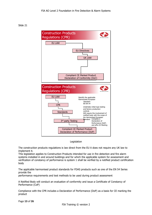

Legislation

The construction products regulations is law direct from the EU it does not require any UK law to implement it.

This legislation applies to Construction Products intended for use in fire detection and fire alarm systems installed in and around buildings and for which the applicable system for assessment and verification of constancy of performance is system 1 shall be verified by a notified product certification body

The applicable harmonised product standards for FDAS products such as one of the EN 54 Series provide the

performance requirements and test methods to be used during product assessment

A Notified Body will conduct an evaluation of conformity and issue a Certificate of Constancy of Performance (CoP)

Compliance with the CPR includes a Declaration of Performance (DoP) as a basis for CE marking the product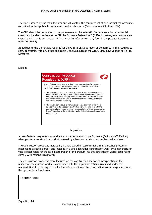The DoP is issued by the manufacturer and will contain the complete list of all essential characteristics as defined in the applicable harmonised product standards (See the Annex ZA of each EN)

The CPR allows the declaration of only one essential characteristic. In this case all other essential characteristics shall be declared as "No Performance Determined" (NPD). However, any performance characteristic that is declared as NPD may not be referred to in any form in the product literature. (CPR Article 4.2)

In addition to the DoP that is required for the CPR, a CE Declaration of Conformity is also required to show conformity with any other applicable Directives such as the ATEX, EMC, Low Voltage or R&TTE **Directives** 

Slide 23



# Legislation

A manufacturer may refrain from drawing up a declaration of performance (DoP) and CE Marking when placing a construction product covered by a harmonised standard on the market where:

The construction product is individually manufactured or custom-made in a non-series process in response to a specific order, and installed in a single identified construction work, by a manufacturer who is responsible for the safe incorporation of the product into the construction works, (still has to comply with national rules/laws)

The construction product is manufactured on the construction site for its incorporation in the respective construction works in compliance with the applicable national rules and under the responsibility of those responsible for the safe execution of the construction works designated under the applicable national rules;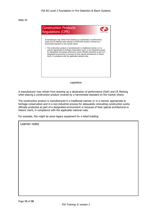

#### Legislation

A manufacturer may refrain from drawing up a declaration of performance (DoP) and CE Marking when placing a construction product covered by a harmonised standard on the market where:

The construction product is manufactured in a traditional manner or in a manner appropriate to heritage conservation and in a non-industrial process for adequately renovating construction works officially protected as part of a designated environment or because of their special architectural or historic merit, in compliance with the applicable national rules.

For example, this might be some legacy equipment for a listed building

| Learner notes |
|---------------|
|               |
|               |
|               |
|               |
|               |
|               |
|               |
|               |
|               |
|               |
|               |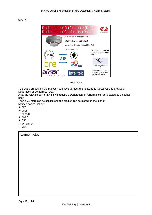

Legislation

To place a product on the market it will have to meet the relevant EU Directives and provide a Declaration of Conformity (DoC)

Also, the relevant part of EN 54 will require a Declaration of Performance (DoP) tested by a notified body

Then a CE mark can be applied and the product can be placed on the market Notified bodies include:

- ➢ BRE
- ➢ LPCB
- ➢ AFNOR
- ➢ CNPP
- ➢ BSI
- ➢ INTERTEK
- ➢ VDS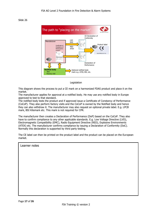

Legislation

This diagram shows the process to put a CE mark on a harmonized FDAS product and place it on the market.

The manufacturer applies for approval at a notified body. He may use any notified body in Europe approved to test to that standard.

The notified body tests the product and if approved issue a Certificate of Constancy of Performance (CoCoP). They also perform factory visits and the CoCoP is owned by the Notified body and hence they can also withdraw it. The manufacturer may also request an optional private label. E.g. LPCB mark, BSI Kitemark etc. This mark is not required for CPR.

The manufacturer then creates a Declaration of Performance (DoP) based on the CoCoP. They also have to confirm compliance to any other applicable standards. E.g. Low Voltage Directive (LVD), Electromagnetic Compatibility (EMC), Radio Equipment Directive (RED), Explosive Environments (ATEX) etc. The manufacturer confirms compliance by issuing a Declaration of Conformity (DoC). Normally this declaration is supported by third party testing.

The CE label can then be printed on the product label and the product can be placed on the European market.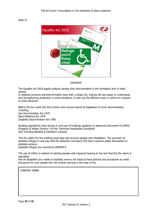

Legislation

The Equality Act 2010 legally protects people from discrimination in the workplace and in wider society.

It replaced previous anti-discrimination laws with a single Act, making the law easier to understand and strengthening protection in some situations. It sets out the different ways in which it's unlawful to treat someone

Before the Act came into force there were several pieces of legislation to cover discrimination, including: Sex Discrimination Act 1975 Race Relations Act 1976 Disability Discrimination Act 1995

Building regulations have access to and use of buildings guidance in Approved Document M [ADM] (England & Wales) Section 4 of the Technical Handbooks (Scotland) And Technical Booklet R (Northern Ireland)

The fire safety for the building must take into account people with disabilities. The provision of disabled refuges is one way that fire detection and alarm fire alarm systems adapt themselves to disabled persons Disabled refuges are covered by BS5839-9

The use of VAD's is method of alerting people with impaired hearing to the fact that the fire alarm is operating

Not all disabilities are visible so building owners will need to have policies and procedures to make provisions for such people this will include warning in the case of fire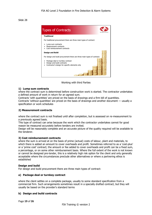

Working with third Parties

#### **1) Lump sum contracts**

where the contract sum is determined before construction work is started. The contractor undertakes a defined amount of work in return for an agreed sum.

Contracts 'with quantities' are priced on the basis of drawings and a firm bill of quantities.

Contracts 'without quantities' are priced on the basis of drawings and another document — usually a specification or work schedules

# **2) Measurement contracts**

where the contract sum is not finalised until after completion, but is assessed on re-measurement to a previously agreed basis.

This type of contract can arise because the work which the contractor undertakes cannot for good reason be measured accurately before tenders are invited.

Design will be reasonably complete and an accurate picture of the quality required will be available to the tenderer.

# **3) Cost reimbursement contracts**

where the sum is arrived at on the basis of prime (actual) costs of labour, plant and materials, to which there is added an amount to cover overheads and profit. Sometimes referred to as a 'cost-plus' or a 'prime cost' contract; the amount or fee added to cover overheads and profit can be a fixed sum, a percentage, or on some other reimbursement basis. Where the full extent of the work is not known or cannot be designed pre-tender, this is a relatively high risk option for the client and only generally acceptable where the circumstances preclude other alternatives or where a partnering ethos is established

#### **Design and build**

For design and build procurement there are three main types of contract:

# **a) Package deal or turnkey contract**

where the client settles on a complete package, usually to some standard specification from a commercial firm. Such arrangements sometimes result in a specially drafted contract, but they will usually be based on the provider's standard terms

# **b) Design and build contracts**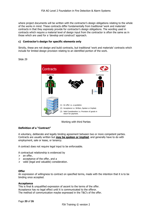where project documents will be written with the contractor's design obligations relating to the whole of the works in mind. These contracts differ fundamentally from traditional 'work and materials' contracts in that they expressly provide for contractor's design obligations. The wording used in contracts which require a material level of design input from the contractor is often the same as in those which are used for a 'develop and construct' approach.

# **c) Contractor's design for specific elements only**

Strictly, these are not design and build contracts, but traditional 'work and materials' contracts which include for limited design provision relating to an identified portion of the work.

Slide 29



# Working with third Parties

# **Definition of a "Contract"**

A voluntary, deliberate and legally binding agreement between two or more competent parties. Contracts are usually written but **may be spoken or implied**, and generally have to do with employment, sale or lease, or tenancy.

A contract does not require legal input to be enforceable.

A contractual relationship is evidenced by

- $\triangleright$  an offer.
- $\triangleright$  acceptance of the offer, and a
- $\triangleright$  valid (legal and valuable) consideration.

# **Offer**

An expression of willingness to contract on specified terms, made with the intention that it is to be binding once accepted.

# **Acceptance**

This is final & unqualified expression of ascent to the terms of the offer. Acceptance has no legal effect until it is communicated to the offeror. The method of communication maybe expressed in the T&C's of the offer.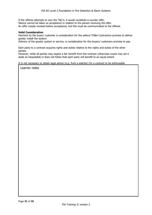If the offeree attempts to vary the T&C's, it would constitute a counter offer. Silence cannot be taken as acceptance in relation to the person receiving the offer. An offer maybe revoked before acceptance, but this must be communicated to the offeree.

#### **Valid Consideration**

Payment by the buyer/ customer is consideration for the sellers/ FD&A Contractors promise to deliver goods/ install the system.

Delivery of the goods/ system or service, is consideration for the buyers/ customers promise to pay.

Each party to a contract acquires rights and duties relative to the rights and duties of the other parties.

However, while all parties may expect a fair benefit from the contract (otherwise courts may set it aside as inequitable) it does not follow that each party will benefit to an equal extent.

It is not necessary to obtain legal advice (e.g. from a solicitor) for a contract to be enforceable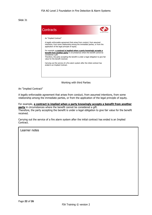

Working with third Parties

An "Implied Contract"

A legally enforceable agreement that arises from conduct, from assumed intentions, from some relationship among the immediate parties, or from the application of the legal principle of equity.

For example, **a contract is implied when a party knowingly accepts a benefit from another party** in circumstances where the benefit cannot be considered a gift. Therefore, the party accepting the benefit is under a legal obligation to give fair value for the benefit received.

Carrying out the service of a fire alarm system after the initial contract has ended is an Implied Contract.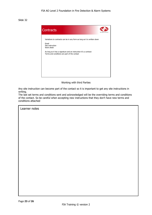

Working with third Parties

Any site instruction can become part of the contact so it is important to get any site instructions in writing.

The last set terms and conditions sent and acknowledged will be the overriding terms and conditions of the contact. So be careful when accepting new instructions that they don't have new terms and conditions attached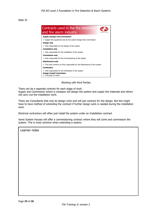

#### Working with third Parties

There can be a separate contract for each stage of work

Supply and Commission where a company will design the system and supply the materials and others will carry out the installation work.

There are Consultants that only do design work and will just contract for the design. But this might have to have method of extending the contract if further design work is needed during the installation work.

Electrical contractors will often just install the system under an Installation contract

Some System Houses will offer a commissioning contract where they will come and commission the system. This is most common when extending a system.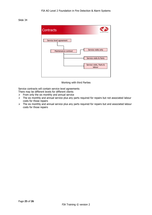

Working with third Parties

Service contracts will contain service level agreements

- There may be different levels for different clients
- $\triangleright$  From only the six monthly and annual service
- ➢ The six monthly and annual service plus any parts required for repairs but not associated labour costs for those repairs
- ➢ The six monthly and annual service plus any parts required for repairs but and associated labour costs for those repairs